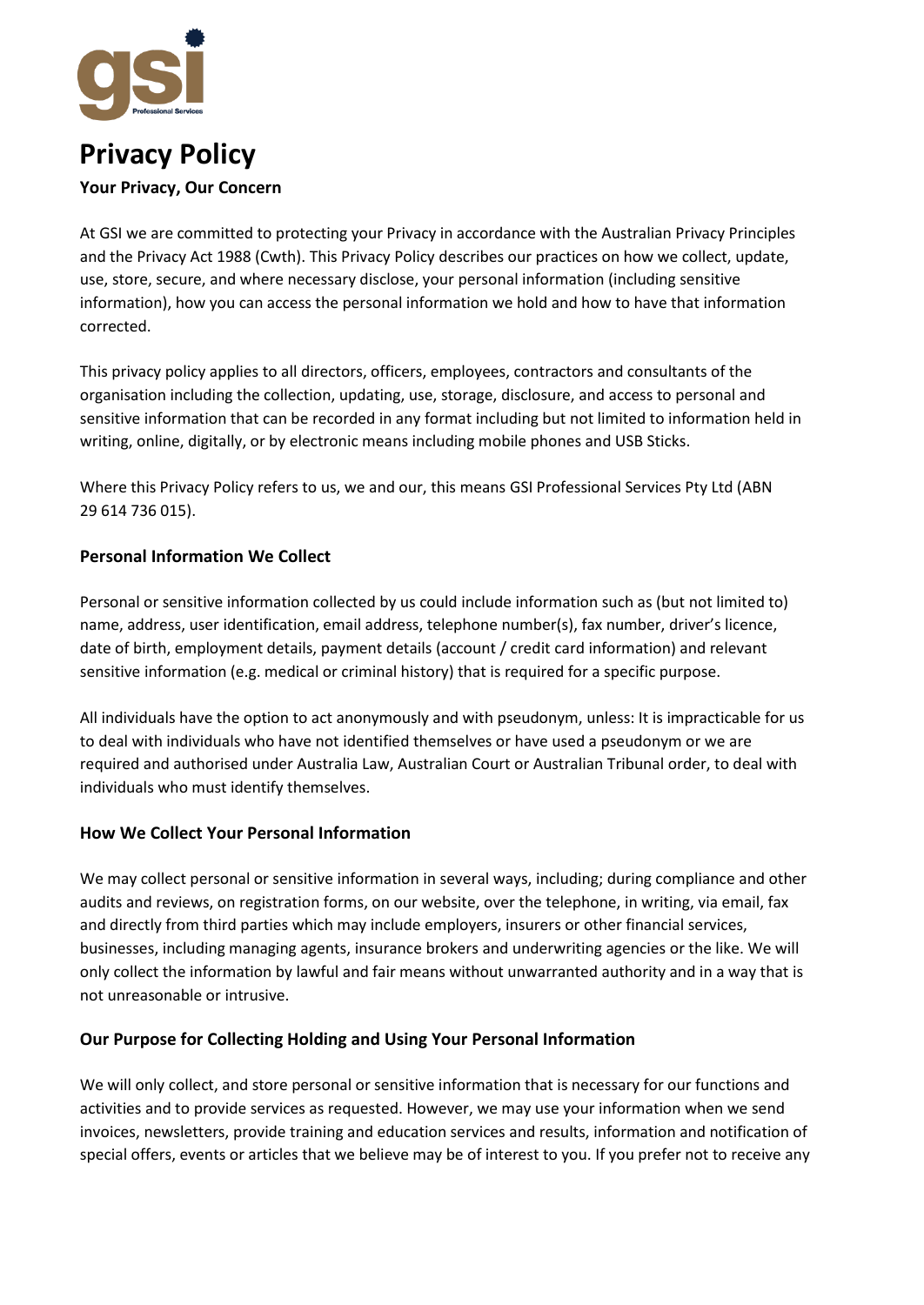

# **Privacy Policy**

# **Your Privacy, Our Concern**

At GSI we are committed to protecting your Privacy in accordance with the Australian Privacy Principles and the Privacy Act 1988 (Cwth). This Privacy Policy describes our practices on how we collect, update, use, store, secure, and where necessary disclose, your personal information (including sensitive information), how you can access the personal information we hold and how to have that information corrected.

This privacy policy applies to all directors, officers, employees, contractors and consultants of the organisation including the collection, updating, use, storage, disclosure, and access to personal and sensitive information that can be recorded in any format including but not limited to information held in writing, online, digitally, or by electronic means including mobile phones and USB Sticks.

Where this Privacy Policy refers to us, we and our, this means GSI Professional Services Pty Ltd (ABN 29 614 736 015).

# **Personal Information We Collect**

Personal or sensitive information collected by us could include information such as (but not limited to) name, address, user identification, email address, telephone number(s), fax number, driver's licence, date of birth, employment details, payment details (account / credit card information) and relevant sensitive information (e.g. medical or criminal history) that is required for a specific purpose.

All individuals have the option to act anonymously and with pseudonym, unless: It is impracticable for us to deal with individuals who have not identified themselves or have used a pseudonym or we are required and authorised under Australia Law, Australian Court or Australian Tribunal order, to deal with individuals who must identify themselves.

# **How We Collect Your Personal Information**

We may collect personal or sensitive information in several ways, including; during compliance and other audits and reviews, on registration forms, on our website, over the telephone, in writing, via email, fax and directly from third parties which may include employers, insurers or other financial services, businesses, including managing agents, insurance brokers and underwriting agencies or the like. We will only collect the information by lawful and fair means without unwarranted authority and in a way that is not unreasonable or intrusive.

# **Our Purpose for Collecting Holding and Using Your Personal Information**

We will only collect, and store personal or sensitive information that is necessary for our functions and activities and to provide services as requested. However, we may use your information when we send invoices, newsletters, provide training and education services and results, information and notification of special offers, events or articles that we believe may be of interest to you. If you prefer not to receive any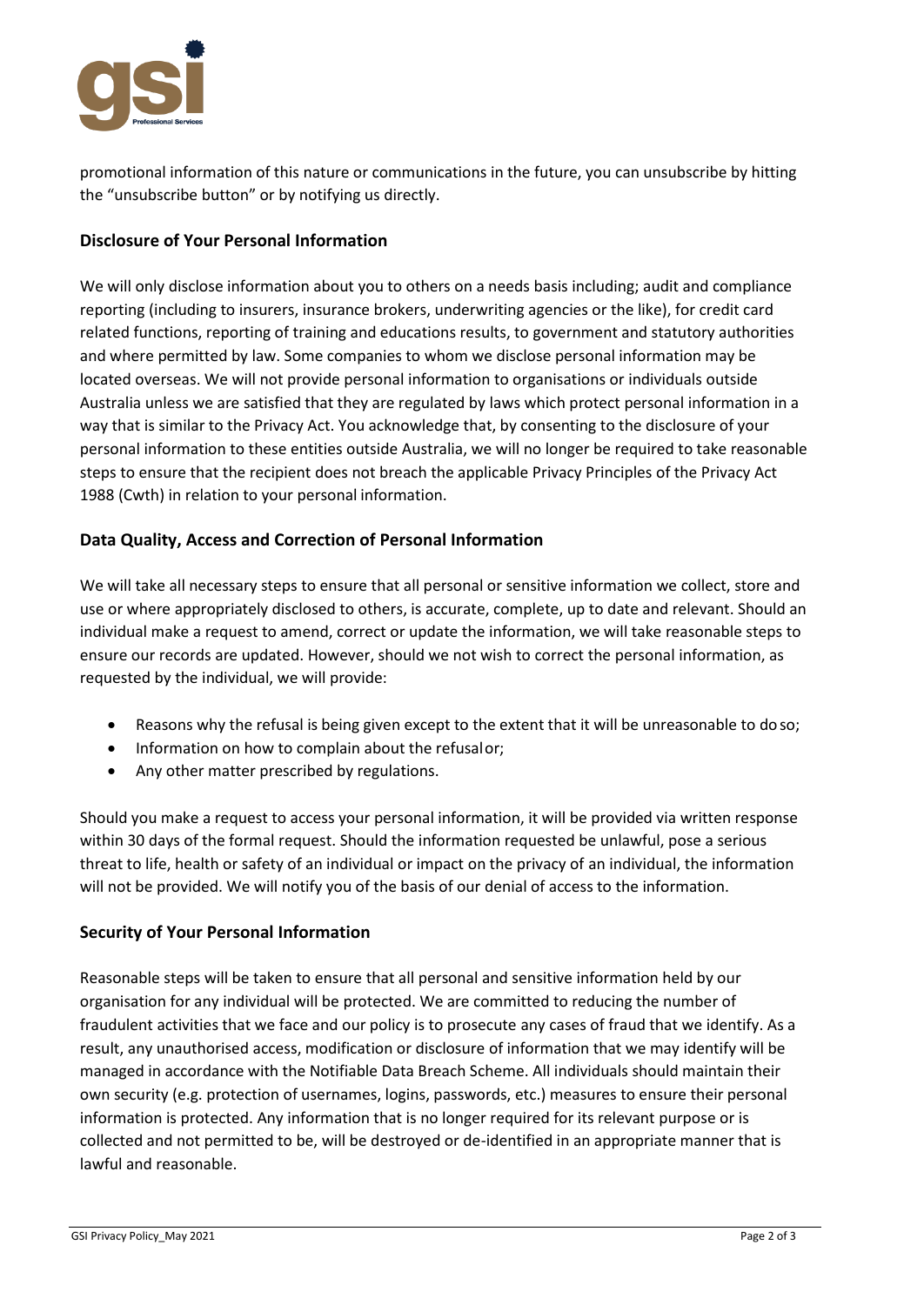

promotional information of this nature or communications in the future, you can unsubscribe by hitting the "unsubscribe button" or by notifying us directly.

## **Disclosure of Your Personal Information**

We will only disclose information about you to others on a needs basis including; audit and compliance reporting (including to insurers, insurance brokers, underwriting agencies or the like), for credit card related functions, reporting of training and educations results, to government and statutory authorities and where permitted by law. Some companies to whom we disclose personal information may be located overseas. We will not provide personal information to organisations or individuals outside Australia unless we are satisfied that they are regulated by laws which protect personal information in a way that is similar to the Privacy Act. You acknowledge that, by consenting to the disclosure of your personal information to these entities outside Australia, we will no longer be required to take reasonable steps to ensure that the recipient does not breach the applicable Privacy Principles of the Privacy Act 1988 (Cwth) in relation to your personal information.

## **Data Quality, Access and Correction of Personal Information**

We will take all necessary steps to ensure that all personal or sensitive information we collect, store and use or where appropriately disclosed to others, is accurate, complete, up to date and relevant. Should an individual make a request to amend, correct or update the information, we will take reasonable steps to ensure our records are updated. However, should we not wish to correct the personal information, as requested by the individual, we will provide:

- Reasons why the refusal is being given except to the extent that it will be unreasonable to do so;
- Information on how to complain about the refusalor;
- Any other matter prescribed by regulations.

Should you make a request to access your personal information, it will be provided via written response within 30 days of the formal request. Should the information requested be unlawful, pose a serious threat to life, health or safety of an individual or impact on the privacy of an individual, the information will not be provided. We will notify you of the basis of our denial of access to the information.

#### **Security of Your Personal Information**

Reasonable steps will be taken to ensure that all personal and sensitive information held by our organisation for any individual will be protected. We are committed to reducing the number of fraudulent activities that we face and our policy is to prosecute any cases of fraud that we identify. As a result, any unauthorised access, modification or disclosure of information that we may identify will be managed in accordance with the Notifiable Data Breach Scheme. All individuals should maintain their own security (e.g. protection of usernames, logins, passwords, etc.) measures to ensure their personal information is protected. Any information that is no longer required for its relevant purpose or is collected and not permitted to be, will be destroyed or de-identified in an appropriate manner that is lawful and reasonable.